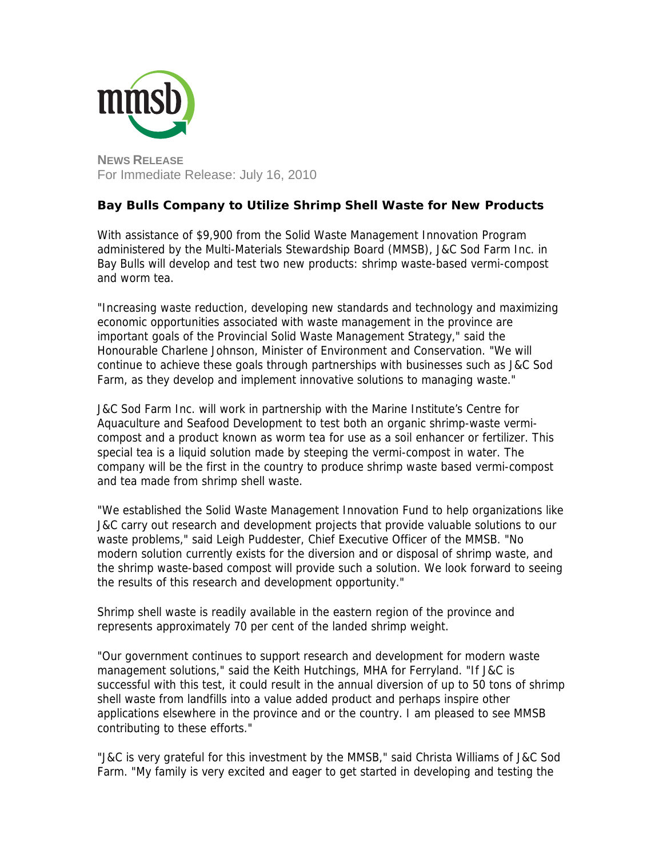

## **Bay Bulls Company to Utilize Shrimp Shell Waste for New Products**

With assistance of \$9,900 from the Solid Waste Management Innovation Program administered by the Multi-Materials Stewardship Board (MMSB), J&C Sod Farm Inc. in Bay Bulls will develop and test two new products: shrimp waste-based vermi-compost and worm tea.

"Increasing waste reduction, developing new standards and technology and maximizing economic opportunities associated with waste management in the province are important goals of the Provincial Solid Waste Management Strategy," said the Honourable Charlene Johnson, Minister of Environment and Conservation. "We will continue to achieve these goals through partnerships with businesses such as J&C Sod Farm, as they develop and implement innovative solutions to managing waste."

J&C Sod Farm Inc. will work in partnership with the Marine Institute's Centre for Aquaculture and Seafood Development to test both an organic shrimp-waste vermicompost and a product known as worm tea for use as a soil enhancer or fertilizer. This special tea is a liquid solution made by steeping the vermi-compost in water. The company will be the first in the country to produce shrimp waste based vermi-compost and tea made from shrimp shell waste.

"We established the Solid Waste Management Innovation Fund to help organizations like J&C carry out research and development projects that provide valuable solutions to our waste problems," said Leigh Puddester, Chief Executive Officer of the MMSB. "No modern solution currently exists for the diversion and or disposal of shrimp waste, and the shrimp waste-based compost will provide such a solution. We look forward to seeing the results of this research and development opportunity."

Shrimp shell waste is readily available in the eastern region of the province and represents approximately 70 per cent of the landed shrimp weight.

"Our government continues to support research and development for modern waste management solutions," said the Keith Hutchings, MHA for Ferryland. "If J&C is successful with this test, it could result in the annual diversion of up to 50 tons of shrimp shell waste from landfills into a value added product and perhaps inspire other applications elsewhere in the province and or the country. I am pleased to see MMSB contributing to these efforts."

"J&C is very grateful for this investment by the MMSB," said Christa Williams of J&C Sod Farm. "My family is very excited and eager to get started in developing and testing the